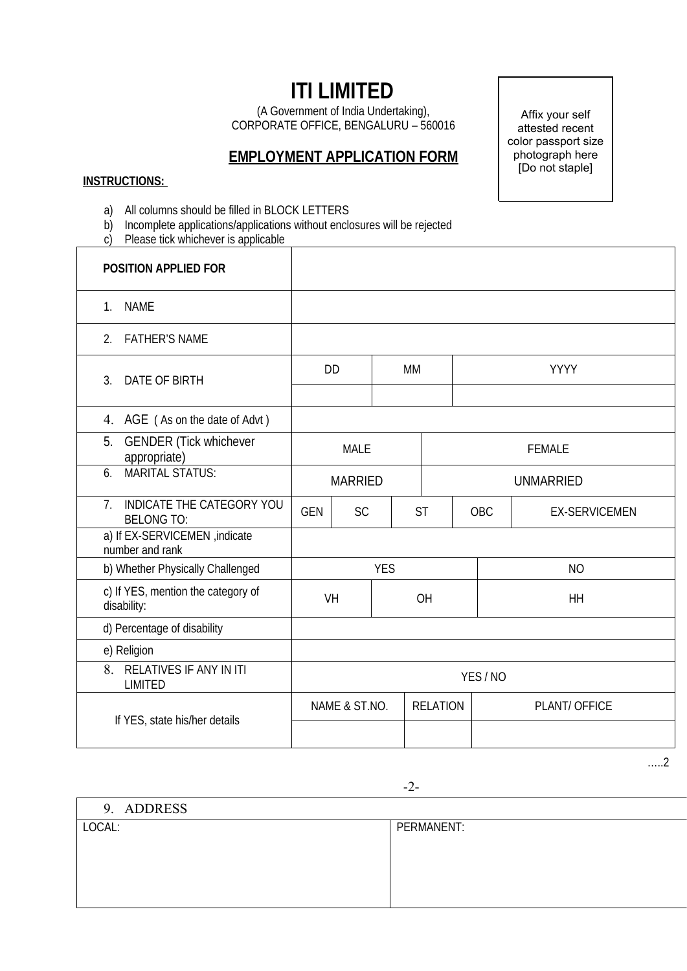## **ITI LIMITED**

(A Government of India Undertaking), CORPORATE OFFICE, BENGALURU – 560016

## **EMPLOYMENT APPLICATION FORM**

## **INSTRUCTIONS:**

 $\sqrt{ }$ 

- a) All columns should be filled in BLOCK LETTERS
- b) Incomplete applications/applications without enclosures will be rejected
- c) Please tick whichever is applicable

Affix your self attested recent color passport size photograph here [Do not staple]

| <b>POSITION APPLIED FOR</b>                         |               |                |            |                 |               |               |                      |  |  |
|-----------------------------------------------------|---------------|----------------|------------|-----------------|---------------|---------------|----------------------|--|--|
| <b>NAME</b><br>1 <sub>1</sub>                       |               |                |            |                 |               |               |                      |  |  |
| <b>FATHER'S NAME</b><br>$2_{1}$                     |               |                |            |                 |               |               |                      |  |  |
| DATE OF BIRTH<br>3.                                 | <b>DD</b>     |                | <b>MM</b>  |                 |               | <b>YYYY</b>   |                      |  |  |
|                                                     |               |                |            |                 |               |               |                      |  |  |
| 4. AGE (As on the date of Advt)                     |               |                |            |                 |               |               |                      |  |  |
| <b>GENDER</b> (Tick whichever<br>5.<br>appropriate) | <b>MALE</b>   |                |            |                 | <b>FEMALE</b> |               |                      |  |  |
| <b>MARITAL STATUS:</b><br>6.                        |               | <b>MARRIED</b> |            |                 |               |               | <b>UNMARRIED</b>     |  |  |
| 7. INDICATE THE CATEGORY YOU<br><b>BELONG TO:</b>   | <b>GEN</b>    | <b>SC</b>      |            | <b>ST</b>       | <b>OBC</b>    |               | <b>EX-SERVICEMEN</b> |  |  |
| a) If EX-SERVICEMEN, indicate<br>number and rank    |               |                |            |                 |               |               |                      |  |  |
| b) Whether Physically Challenged                    |               |                | <b>YES</b> |                 | <b>NO</b>     |               |                      |  |  |
| c) If YES, mention the category of<br>disability:   | VH            |                | OH         |                 |               | HH            |                      |  |  |
| d) Percentage of disability                         |               |                |            |                 |               |               |                      |  |  |
| e) Religion                                         |               |                |            |                 |               |               |                      |  |  |
| 8. RELATIVES IF ANY IN ITI<br><b>LIMITED</b>        | YES / NO      |                |            |                 |               |               |                      |  |  |
| If YES, state his/her details                       | NAME & ST.NO. |                |            | <b>RELATION</b> |               | PLANT/ OFFICE |                      |  |  |
|                                                     |               |                |            |                 |               |               |                      |  |  |

…..2

-2-

| 9. ADDRESS |            |
|------------|------------|
| LOCAL:     | PERMANENT: |
|            |            |
|            |            |
|            |            |
|            |            |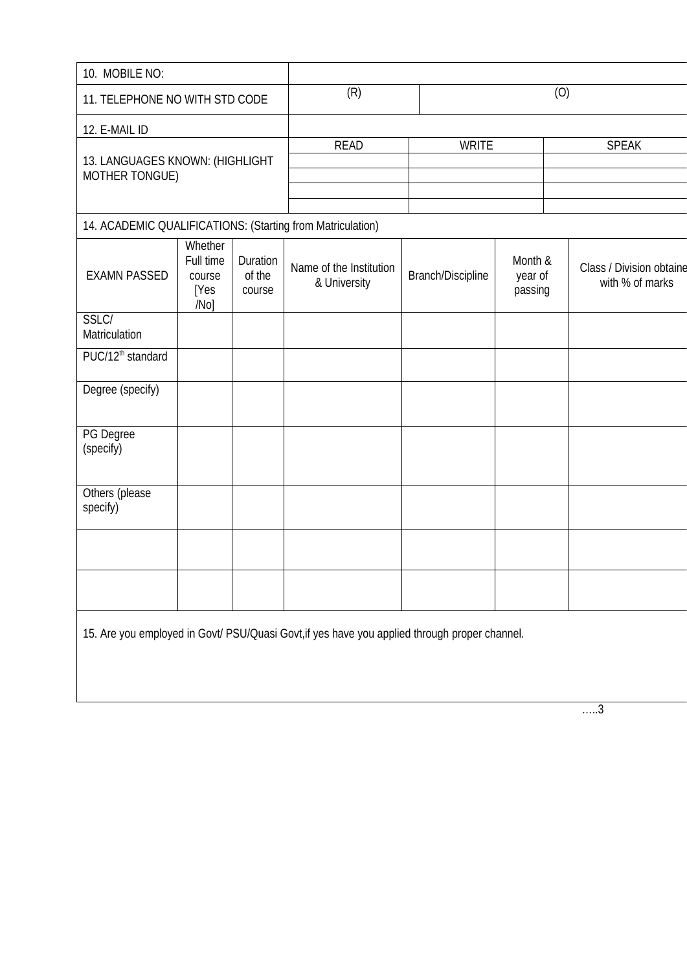| 10. MOBILE NO:                                    |                                                |                              |                                                            |                   |                               |              |                                             |  |  |  |
|---------------------------------------------------|------------------------------------------------|------------------------------|------------------------------------------------------------|-------------------|-------------------------------|--------------|---------------------------------------------|--|--|--|
| 11. TELEPHONE NO WITH STD CODE                    |                                                |                              | (R)                                                        |                   | (0)                           |              |                                             |  |  |  |
| 12. E-MAIL ID                                     |                                                |                              |                                                            |                   |                               |              |                                             |  |  |  |
| 13. LANGUAGES KNOWN: (HIGHLIGHT<br>MOTHER TONGUE) |                                                |                              | <b>READ</b>                                                | <b>WRITE</b>      |                               | <b>SPEAK</b> |                                             |  |  |  |
|                                                   |                                                |                              | 14. ACADEMIC QUALIFICATIONS: (Starting from Matriculation) |                   |                               |              |                                             |  |  |  |
| <b>EXAMN PASSED</b>                               | Whether<br>Full time<br>course<br>[Yes<br>/No] | Duration<br>of the<br>course | Name of the Institution<br>& University                    | Branch/Discipline | Month &<br>year of<br>passing |              | Class / Division obtaine<br>with % of marks |  |  |  |
| SSLC/<br>Matriculation                            |                                                |                              |                                                            |                   |                               |              |                                             |  |  |  |
| PUC/12 <sup>th</sup> standard                     |                                                |                              |                                                            |                   |                               |              |                                             |  |  |  |
| Degree (specify)                                  |                                                |                              |                                                            |                   |                               |              |                                             |  |  |  |
| PG Degree<br>(specify)                            |                                                |                              |                                                            |                   |                               |              |                                             |  |  |  |
| Others (please<br>specify)                        |                                                |                              |                                                            |                   |                               |              |                                             |  |  |  |
|                                                   |                                                |                              |                                                            |                   |                               |              |                                             |  |  |  |
|                                                   |                                                |                              |                                                            |                   |                               |              |                                             |  |  |  |

15. Are you employed in Govt/ PSU/Quasi Govt,if yes have you applied through proper channel.